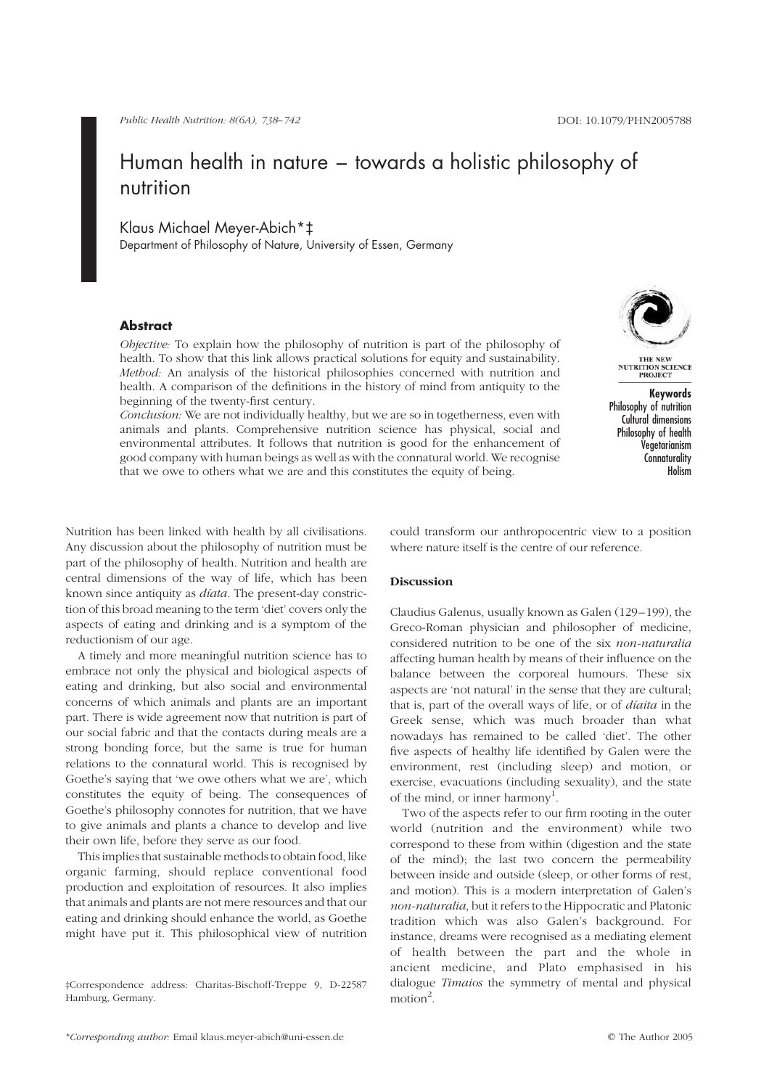# Human health in nature – towards a holistic philosophy of nutrition

Klaus Michael Meyer-Abich\*‡

Department of Philosophy of Nature, University of Essen, Germany

## **Abstract**

Objective: To explain how the philosophy of nutrition is part of the philosophy of health. To show that this link allows practical solutions for equity and sustainability. Method: An analysis of the historical philosophies concerned with nutrition and health. A comparison of the definitions in the history of mind from antiquity to the beginning of the twenty-first century.

Conclusion: We are not individually healthy, but we are so in togetherness, even with animals and plants. Comprehensive nutrition science has physical, social and environmental attributes. It follows that nutrition is good for the enhancement of good company with human beings as well as with the connatural world. We recognise that we owe to others what we are and this constitutes the equity of being.



THE NEW **THE NEW<br>NUTRITION SCIENCE<br>PROJECT** 

Keywords Philosophy of nutrition Cultural dimensions Philosophy of health Vegetarianism **Connaturality** Holism

Nutrition has been linked with health by all civilisations. Any discussion about the philosophy of nutrition must be part of the philosophy of health. Nutrition and health are central dimensions of the way of life, which has been known since antiquity as *díata*. The present-day constriction of this broad meaning to the term 'diet' covers only the aspects of eating and drinking and is a symptom of the reductionism of our age.

A timely and more meaningful nutrition science has to embrace not only the physical and biological aspects of eating and drinking, but also social and environmental concerns of which animals and plants are an important part. There is wide agreement now that nutrition is part of our social fabric and that the contacts during meals are a strong bonding force, but the same is true for human relations to the connatural world. This is recognised by Goethe's saying that 'we owe others what we are', which constitutes the equity of being. The consequences of Goethe's philosophy connotes for nutrition, that we have to give animals and plants a chance to develop and live their own life, before they serve as our food.

This implies that sustainable methods to obtain food, like organic farming, should replace conventional food production and exploitation of resources. It also implies that animals and plants are not mere resources and that our eating and drinking should enhance the world, as Goethe might have put it. This philosophical view of nutrition could transform our anthropocentric view to a position where nature itself is the centre of our reference.

# Discussion

Claudius Galenus, usually known as Galen (129– 199), the Greco-Roman physician and philosopher of medicine, considered nutrition to be one of the six non-naturalia affecting human health by means of their influence on the balance between the corporeal humours. These six aspects are 'not natural' in the sense that they are cultural; that is, part of the overall ways of life, or of *diaita* in the Greek sense, which was much broader than what nowadays has remained to be called 'diet'. The other five aspects of healthy life identified by Galen were the environment, rest (including sleep) and motion, or exercise, evacuations (including sexuality), and the state of the mind, or inner harmony<sup>1</sup>.

Two of the aspects refer to our firm rooting in the outer world (nutrition and the environment) while two correspond to these from within (digestion and the state of the mind); the last two concern the permeability between inside and outside (sleep, or other forms of rest, and motion). This is a modern interpretation of Galen's non-naturalia, but it refers to the Hippocratic and Platonic tradition which was also Galen's background. For instance, dreams were recognised as a mediating element of health between the part and the whole in ancient medicine, and Plato emphasised in his dialogue Timaios the symmetry of mental and physical  $motion<sup>2</sup>$ .

<sup>‡</sup>Correspondence address: Charitas-Bischoff-Treppe 9, D-22587 Hamburg, Germany.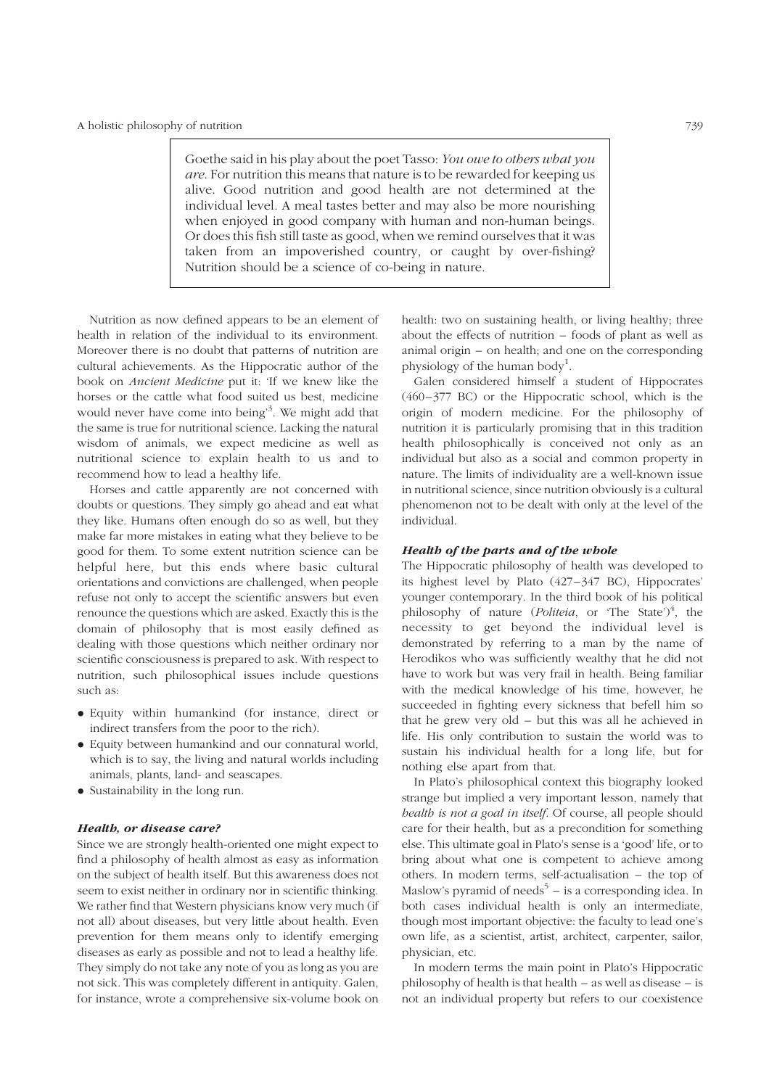Goethe said in his play about the poet Tasso: You owe to others what you are. For nutrition this means that nature is to be rewarded for keeping us alive. Good nutrition and good health are not determined at the individual level. A meal tastes better and may also be more nourishing when enjoyed in good company with human and non-human beings. Or does this fish still taste as good, when we remind ourselves that it was taken from an impoverished country, or caught by over-fishing? Nutrition should be a science of co-being in nature.

Nutrition as now defined appears to be an element of health in relation of the individual to its environment. Moreover there is no doubt that patterns of nutrition are cultural achievements. As the Hippocratic author of the book on Ancient Medicine put it: 'If we knew like the horses or the cattle what food suited us best, medicine would never have come into being<sup>3</sup>. We might add that the same is true for nutritional science. Lacking the natural wisdom of animals, we expect medicine as well as nutritional science to explain health to us and to recommend how to lead a healthy life.

Horses and cattle apparently are not concerned with doubts or questions. They simply go ahead and eat what they like. Humans often enough do so as well, but they make far more mistakes in eating what they believe to be good for them. To some extent nutrition science can be helpful here, but this ends where basic cultural orientations and convictions are challenged, when people refuse not only to accept the scientific answers but even renounce the questions which are asked. Exactly this is the domain of philosophy that is most easily defined as dealing with those questions which neither ordinary nor scientific consciousness is prepared to ask. With respect to nutrition, such philosophical issues include questions such as:

- . Equity within humankind (for instance, direct or indirect transfers from the poor to the rich).
- . Equity between humankind and our connatural world, which is to say, the living and natural worlds including animals, plants, land- and seascapes.
- . Sustainability in the long run.

# Health, or disease care?

Since we are strongly health-oriented one might expect to find a philosophy of health almost as easy as information on the subject of health itself. But this awareness does not seem to exist neither in ordinary nor in scientific thinking. We rather find that Western physicians know very much (if not all) about diseases, but very little about health. Even prevention for them means only to identify emerging diseases as early as possible and not to lead a healthy life. They simply do not take any note of you as long as you are not sick. This was completely different in antiquity. Galen, for instance, wrote a comprehensive six-volume book on

health: two on sustaining health, or living healthy; three about the effects of nutrition – foods of plant as well as animal origin – on health; and one on the corresponding physiology of the human body<sup>1</sup>.

Galen considered himself a student of Hippocrates  $(460-377)$  BC) or the Hippocratic school, which is the origin of modern medicine. For the philosophy of nutrition it is particularly promising that in this tradition health philosophically is conceived not only as an individual but also as a social and common property in nature. The limits of individuality are a well-known issue in nutritional science, since nutrition obviously is a cultural phenomenon not to be dealt with only at the level of the individual.

# Health of the parts and of the whole

The Hippocratic philosophy of health was developed to its highest level by Plato (427-347 BC), Hippocrates' younger contemporary. In the third book of his political philosophy of nature (*Politeia*, or 'The State')<sup>4</sup>, the necessity to get beyond the individual level is demonstrated by referring to a man by the name of Herodikos who was sufficiently wealthy that he did not have to work but was very frail in health. Being familiar with the medical knowledge of his time, however, he succeeded in fighting every sickness that befell him so that he grew very old – but this was all he achieved in life. His only contribution to sustain the world was to sustain his individual health for a long life, but for nothing else apart from that.

In Plato's philosophical context this biography looked strange but implied a very important lesson, namely that health is not a goal in itself. Of course, all people should care for their health, but as a precondition for something else. This ultimate goal in Plato's sense is a 'good' life, or to bring about what one is competent to achieve among others. In modern terms, self-actualisation – the top of Maslow's pyramid of needs<sup>5</sup> – is a corresponding idea. In both cases individual health is only an intermediate, though most important objective: the faculty to lead one's own life, as a scientist, artist, architect, carpenter, sailor, physician, etc.

In modern terms the main point in Plato's Hippocratic philosophy of health is that health – as well as disease – is not an individual property but refers to our coexistence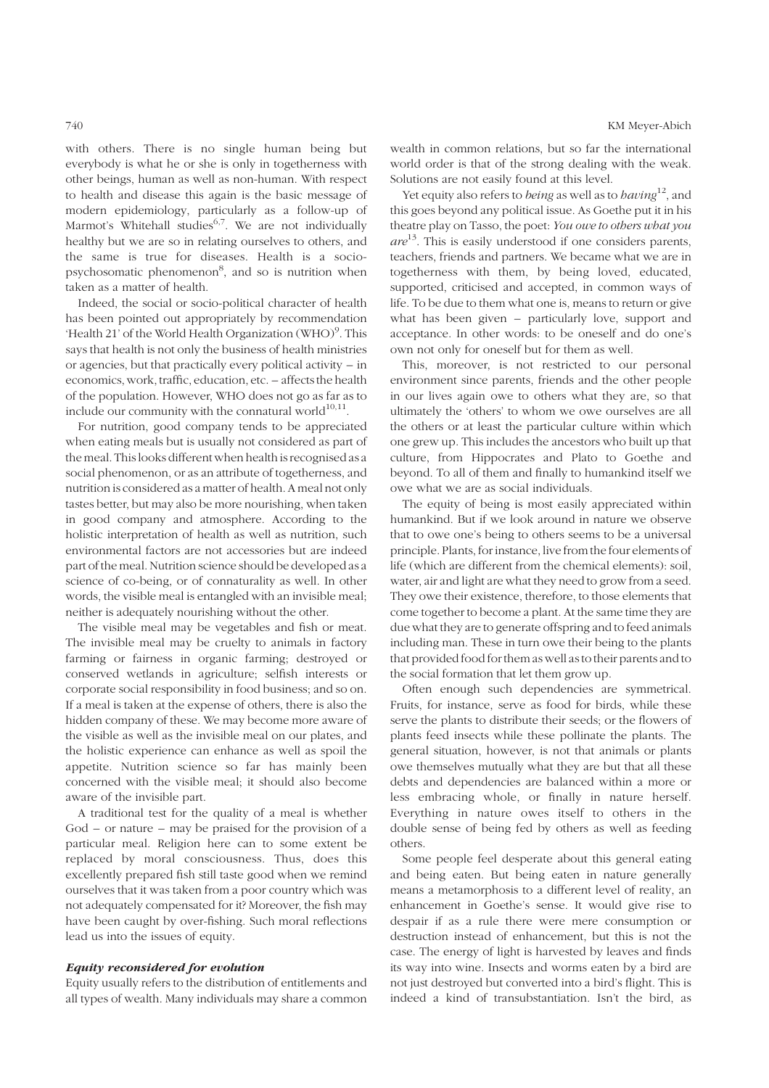with others. There is no single human being but everybody is what he or she is only in togetherness with other beings, human as well as non-human. With respect to health and disease this again is the basic message of modern epidemiology, particularly as a follow-up of Marmot's Whitehall studies $6,7$ . We are not individually healthy but we are so in relating ourselves to others, and the same is true for diseases. Health is a sociopsychosomatic phenomenon<sup>8</sup>, and so is nutrition when taken as a matter of health.

Indeed, the social or socio-political character of health has been pointed out appropriately by recommendation 'Health 21' of the World Health Organization (WHO)<sup>9</sup>. This says that health is not only the business of health ministries or agencies, but that practically every political activity – in economics, work, traffic, education, etc. – affects the health of the population. However, WHO does not go as far as to include our community with the connatural world $10,11$ .

For nutrition, good company tends to be appreciated when eating meals but is usually not considered as part of the meal. This looks different when health is recognised as a social phenomenon, or as an attribute of togetherness, and nutrition is considered as a matter of health. A meal not only tastes better, but may also be more nourishing, when taken in good company and atmosphere. According to the holistic interpretation of health as well as nutrition, such environmental factors are not accessories but are indeed part of the meal. Nutrition science should be developed as a science of co-being, or of connaturality as well. In other words, the visible meal is entangled with an invisible meal; neither is adequately nourishing without the other.

The visible meal may be vegetables and fish or meat. The invisible meal may be cruelty to animals in factory farming or fairness in organic farming; destroyed or conserved wetlands in agriculture; selfish interests or corporate social responsibility in food business; and so on. If a meal is taken at the expense of others, there is also the hidden company of these. We may become more aware of the visible as well as the invisible meal on our plates, and the holistic experience can enhance as well as spoil the appetite. Nutrition science so far has mainly been concerned with the visible meal; it should also become aware of the invisible part.

A traditional test for the quality of a meal is whether God – or nature – may be praised for the provision of a particular meal. Religion here can to some extent be replaced by moral consciousness. Thus, does this excellently prepared fish still taste good when we remind ourselves that it was taken from a poor country which was not adequately compensated for it? Moreover, the fish may have been caught by over-fishing. Such moral reflections lead us into the issues of equity.

## Equity reconsidered for evolution

Equity usually refers to the distribution of entitlements and all types of wealth. Many individuals may share a common wealth in common relations, but so far the international world order is that of the strong dealing with the weak. Solutions are not easily found at this level.

Yet equity also refers to *being* as well as to *having*<sup>12</sup>, and this goes beyond any political issue. As Goethe put it in his theatre play on Tasso, the poet: You owe to others what you  $are^{13}$ . This is easily understood if one considers parents, teachers, friends and partners. We became what we are in togetherness with them, by being loved, educated, supported, criticised and accepted, in common ways of life. To be due to them what one is, means to return or give what has been given – particularly love, support and acceptance. In other words: to be oneself and do one's own not only for oneself but for them as well.

This, moreover, is not restricted to our personal environment since parents, friends and the other people in our lives again owe to others what they are, so that ultimately the 'others' to whom we owe ourselves are all the others or at least the particular culture within which one grew up. This includes the ancestors who built up that culture, from Hippocrates and Plato to Goethe and beyond. To all of them and finally to humankind itself we owe what we are as social individuals.

The equity of being is most easily appreciated within humankind. But if we look around in nature we observe that to owe one's being to others seems to be a universal principle. Plants, for instance, live from the four elements of life (which are different from the chemical elements): soil, water, air and light are what they need to grow from a seed. They owe their existence, therefore, to those elements that come together to become a plant. At the same time they are due what they are to generate offspring and to feed animals including man. These in turn owe their being to the plants that provided food for them as well as to their parents and to the social formation that let them grow up.

Often enough such dependencies are symmetrical. Fruits, for instance, serve as food for birds, while these serve the plants to distribute their seeds; or the flowers of plants feed insects while these pollinate the plants. The general situation, however, is not that animals or plants owe themselves mutually what they are but that all these debts and dependencies are balanced within a more or less embracing whole, or finally in nature herself. Everything in nature owes itself to others in the double sense of being fed by others as well as feeding others.

Some people feel desperate about this general eating and being eaten. But being eaten in nature generally means a metamorphosis to a different level of reality, an enhancement in Goethe's sense. It would give rise to despair if as a rule there were mere consumption or destruction instead of enhancement, but this is not the case. The energy of light is harvested by leaves and finds its way into wine. Insects and worms eaten by a bird are not just destroyed but converted into a bird's flight. This is indeed a kind of transubstantiation. Isn't the bird, as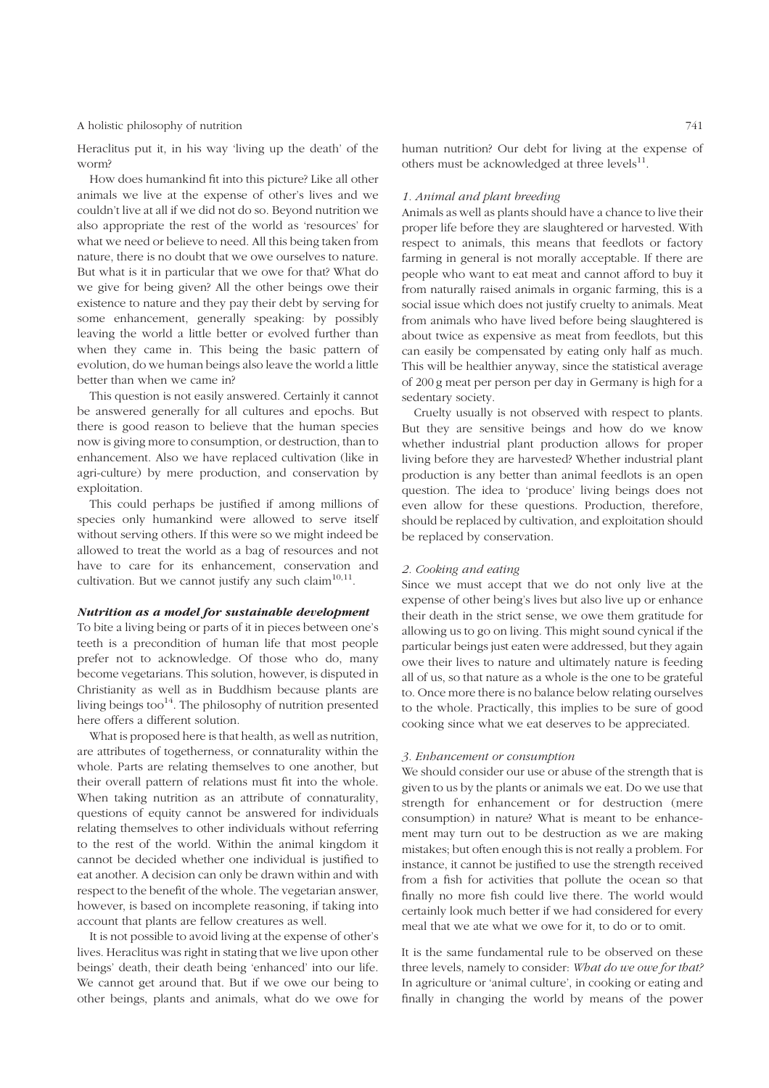#### A holistic philosophy of nutrition 741

Heraclitus put it, in his way 'living up the death' of the worm?

How does humankind fit into this picture? Like all other animals we live at the expense of other's lives and we couldn't live at all if we did not do so. Beyond nutrition we also appropriate the rest of the world as 'resources' for what we need or believe to need. All this being taken from nature, there is no doubt that we owe ourselves to nature. But what is it in particular that we owe for that? What do we give for being given? All the other beings owe their existence to nature and they pay their debt by serving for some enhancement, generally speaking: by possibly leaving the world a little better or evolved further than when they came in. This being the basic pattern of evolution, do we human beings also leave the world a little better than when we came in?

This question is not easily answered. Certainly it cannot be answered generally for all cultures and epochs. But there is good reason to believe that the human species now is giving more to consumption, or destruction, than to enhancement. Also we have replaced cultivation (like in agri-culture) by mere production, and conservation by exploitation.

This could perhaps be justified if among millions of species only humankind were allowed to serve itself without serving others. If this were so we might indeed be allowed to treat the world as a bag of resources and not have to care for its enhancement, conservation and cultivation. But we cannot justify any such claim<sup>10,11</sup>.

#### Nutrition as a model for sustainable development

To bite a living being or parts of it in pieces between one's teeth is a precondition of human life that most people prefer not to acknowledge. Of those who do, many become vegetarians. This solution, however, is disputed in Christianity as well as in Buddhism because plants are living beings too $14$ . The philosophy of nutrition presented here offers a different solution.

What is proposed here is that health, as well as nutrition, are attributes of togetherness, or connaturality within the whole. Parts are relating themselves to one another, but their overall pattern of relations must fit into the whole. When taking nutrition as an attribute of connaturality, questions of equity cannot be answered for individuals relating themselves to other individuals without referring to the rest of the world. Within the animal kingdom it cannot be decided whether one individual is justified to eat another. A decision can only be drawn within and with respect to the benefit of the whole. The vegetarian answer, however, is based on incomplete reasoning, if taking into account that plants are fellow creatures as well.

It is not possible to avoid living at the expense of other's lives. Heraclitus was right in stating that we live upon other beings' death, their death being 'enhanced' into our life. We cannot get around that. But if we owe our being to other beings, plants and animals, what do we owe for human nutrition? Our debt for living at the expense of others must be acknowledged at three levels $^{11}$ .

## 1. Animal and plant breeding

Animals as well as plants should have a chance to live their proper life before they are slaughtered or harvested. With respect to animals, this means that feedlots or factory farming in general is not morally acceptable. If there are people who want to eat meat and cannot afford to buy it from naturally raised animals in organic farming, this is a social issue which does not justify cruelty to animals. Meat from animals who have lived before being slaughtered is about twice as expensive as meat from feedlots, but this can easily be compensated by eating only half as much. This will be healthier anyway, since the statistical average of 200 g meat per person per day in Germany is high for a sedentary society.

Cruelty usually is not observed with respect to plants. But they are sensitive beings and how do we know whether industrial plant production allows for proper living before they are harvested? Whether industrial plant production is any better than animal feedlots is an open question. The idea to 'produce' living beings does not even allow for these questions. Production, therefore, should be replaced by cultivation, and exploitation should be replaced by conservation.

#### 2. Cooking and eating

Since we must accept that we do not only live at the expense of other being's lives but also live up or enhance their death in the strict sense, we owe them gratitude for allowing us to go on living. This might sound cynical if the particular beings just eaten were addressed, but they again owe their lives to nature and ultimately nature is feeding all of us, so that nature as a whole is the one to be grateful to. Once more there is no balance below relating ourselves to the whole. Practically, this implies to be sure of good cooking since what we eat deserves to be appreciated.

#### 3. Enhancement or consumption

We should consider our use or abuse of the strength that is given to us by the plants or animals we eat. Do we use that strength for enhancement or for destruction (mere consumption) in nature? What is meant to be enhancement may turn out to be destruction as we are making mistakes; but often enough this is not really a problem. For instance, it cannot be justified to use the strength received from a fish for activities that pollute the ocean so that finally no more fish could live there. The world would certainly look much better if we had considered for every meal that we ate what we owe for it, to do or to omit.

It is the same fundamental rule to be observed on these three levels, namely to consider: What do we owe for that? In agriculture or 'animal culture', in cooking or eating and finally in changing the world by means of the power